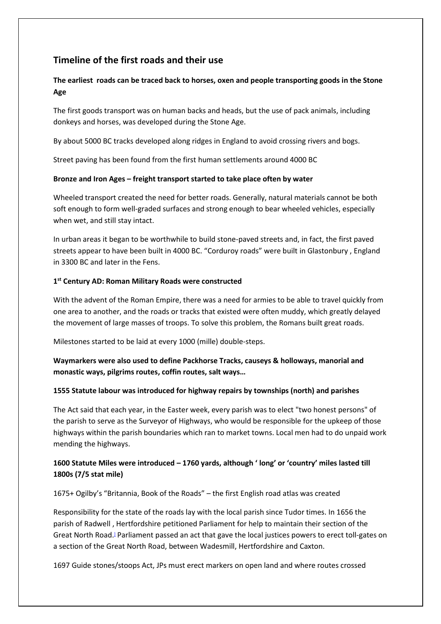# **Timeline of the first roads and their use**

## **The earliest roads can be traced back to horses, oxen and people transporting goods in the Stone Age**

The first goods transport was on human backs and heads, but the use of pack animals, including donkeys and horses, was developed during the Stone Age.

By about 5000 BC tracks developed along ridges in England to avoid crossing rivers and bogs.

Street paving has been found from the first human settlements around 4000 BC

### **Bronze and Iron Ages – freight transport started to take place often by water**

Wheeled transport created the need for better roads. Generally, natural materials cannot be both soft enough to form well-graded surfaces and strong enough to bear wheeled vehicles, especially when wet, and still stay intact.

In urban areas it began to be worthwhile to build stone-paved streets and, in fact, the first paved streets appear to have been built in 4000 BC. "Corduroy roads" were built in Glastonbury , England in 3300 BC and later in the Fens.

### **1 st Century AD: Roman Military Roads were constructed**

With the advent of the Roman Empire, there was a need for armies to be able to travel quickly from one area to another, and the roads or tracks that existed were often muddy, which greatly delayed the movement of large masses of troops. To solve this problem, the Romans built great roads.

Milestones started to be laid at every 1000 (mille) double-steps.

### **Waymarkers were also used to define Packhorse Tracks, causeys & holloways, manorial and monastic ways, pilgrims routes, coffin routes, salt ways…**

### **1555 Statute labour was introduced for highway repairs by townships (north) and parishes**

The Act said that each year, in the Easter week, every parish was to elect "two honest persons" of the parish to serve as the Surveyor of Highways, who would be responsible for the upkeep of those highways within the parish boundaries which ran to market towns. Local men had to do unpaid work mending the highways.

# **1600 Statute Miles were introduced – 1760 yards, although ' long' or 'country' miles lasted till 1800s (7/5 stat mile)**

### 1675+ Ogilby's "Britannia, Book of the Roads" – the first English road atlas was created

Responsibility for the state of the roads lay with the local parish since Tudor times. In 1656 the parish of Radwell , Hertfordshire petitioned Parliament for help to maintain their section of the Great North Road[.](https://en.wikipedia.org/wiki/History_of_road_transport#cite_note-webb157-14)] Parliament passed an act that gave the local justices powers to erect toll-gates on a section of the Great North Road, between Wadesmill, Hertfordshire and Caxton.

1697 Guide stones/stoops Act, JPs must erect markers on open land and where routes crossed